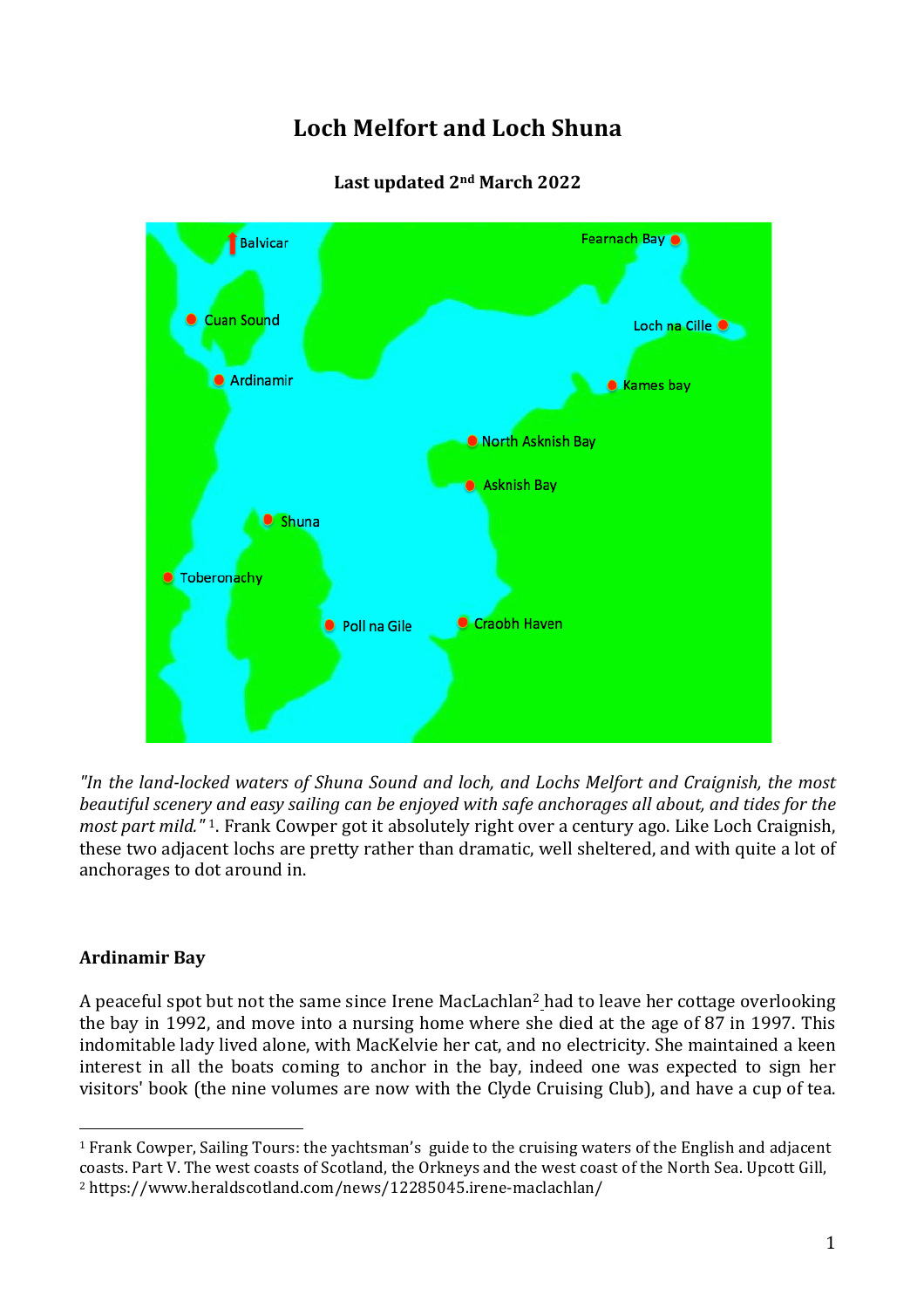# **Loch Melfort and Loch Shuna**



# **Last updated 2nd March 2022**

*"In the land-locked waters of Shuna Sound and loch, and Lochs Melfort and Craignish, the most beautiful scenery and easy sailing can be enjoyed with safe anchorages all about, and tides for the most part mild."* 1. Frank Cowper got it absolutely right over a century ago. Like Loch Craignish, these two adjacent lochs are pretty rather than dramatic, well sheltered, and with quite a lot of anchorages to dot around in.

# **Ardinamir Bay**

A peaceful spot but not the same since Irene MacLachlan2 had to leave her cottage overlooking the bay in 1992, and move into a nursing home where she died at the age of 87 in 1997. This indomitable lady lived alone, with MacKelvie her cat, and no electricity. She maintained a keen interest in all the boats coming to anchor in the bay, indeed one was expected to sign her visitors' book (the nine volumes are now with the Clyde Cruising Club), and have a cup of tea.

  $1$  Frank Cowper, Sailing Tours: the vachtsman's guide to the cruising waters of the English and adjacent coasts. Part V. The west coasts of Scotland, the Orkneys and the west coast of the North Sea. Upcott Gill, <sup>2</sup> https://www.heraldscotland.com/news/12285045.irene-maclachlan/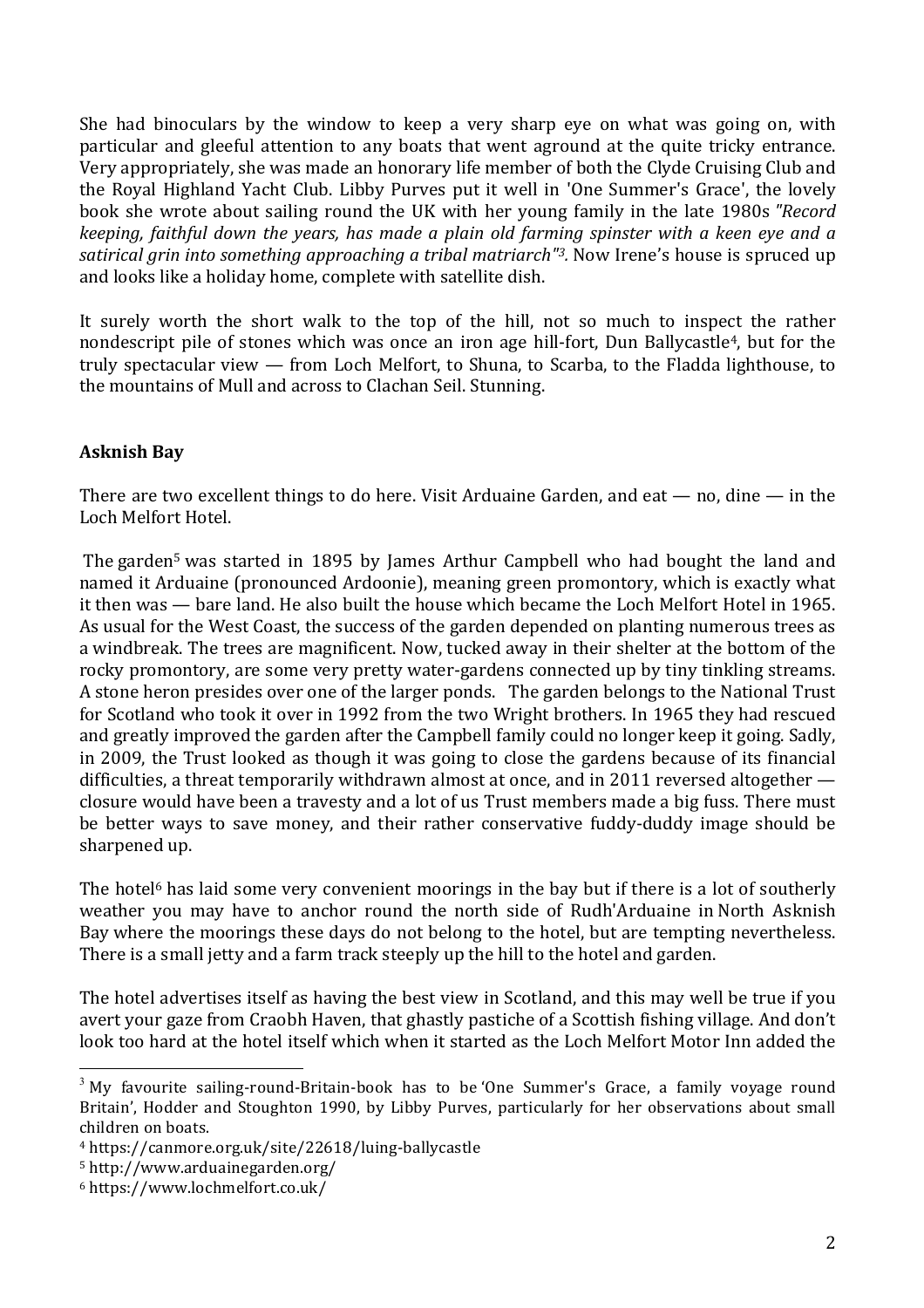She had binoculars by the window to keep a very sharp eye on what was going on, with particular and gleeful attention to any boats that went aground at the quite tricky entrance. Very appropriately, she was made an honorary life member of both the Clyde Cruising Club and the Royal Highland Yacht Club. Libby Purves put it well in 'One Summer's Grace', the lovely book she wrote about sailing round the UK with her young family in the late 1980s *"Record keeping, faithful down the years, has made a plain old farming spinster with a keen eye and a satirical grin into something approaching a tribal matriarch"3.* Now Irene's house is spruced up and looks like a holiday home, complete with satellite dish.

It surely worth the short walk to the top of the hill, not so much to inspect the rather nondescript pile of stones which was once an iron age hill-fort, Dun Ballycastle<sup>4</sup>, but for the truly spectacular view — from Loch Melfort, to Shuna, to Scarba, to the Fladda lighthouse, to the mountains of Mull and across to Clachan Seil. Stunning.

## **Asknish Bay**

There are two excellent things to do here. Visit Arduaine Garden, and eat  $-$  no, dine  $-$  in the Loch Melfort Hotel.

The garden<sup>5</sup> was started in 1895 by James Arthur Campbell who had bought the land and named it Arduaine (pronounced Ardoonie), meaning green promontory, which is exactly what it then was — bare land. He also built the house which became the Loch Melfort Hotel in 1965. As usual for the West Coast, the success of the garden depended on planting numerous trees as a windbreak. The trees are magnificent. Now, tucked away in their shelter at the bottom of the rocky promontory, are some very pretty water-gardens connected up by tiny tinkling streams. A stone heron presides over one of the larger ponds. The garden belongs to the National Trust for Scotland who took it over in 1992 from the two Wright brothers. In 1965 they had rescued and greatly improved the garden after the Campbell family could no longer keep it going. Sadly, in 2009, the Trust looked as though it was going to close the gardens because of its financial difficulties, a threat temporarily withdrawn almost at once, and in 2011 reversed altogether closure would have been a travesty and a lot of us Trust members made a big fuss. There must be better ways to save money, and their rather conservative fuddy-duddy image should be sharpened up.

The hotel<sup>6</sup> has laid some very convenient moorings in the bay but if there is a lot of southerly weather you may have to anchor round the north side of Rudh'Arduaine in North Asknish Bay where the moorings these days do not belong to the hotel, but are tempting nevertheless. There is a small jetty and a farm track steeply up the hill to the hotel and garden.

The hotel advertises itself as having the best view in Scotland, and this may well be true if you avert your gaze from Craobh Haven, that ghastly pastiche of a Scottish fishing village. And don't look too hard at the hotel itself which when it started as the Loch Melfort Motor Inn added the

 $3\,$  My favourite sailing-round-Britain-book has to be One Summer's Grace, a family voyage round Britain', Hodder and Stoughton 1990, by Libby Purves, particularly for her observations about small children on boats.

<sup>4</sup> https://canmore.org.uk/site/22618/luing-ballycastle

<sup>5</sup> http://www.arduainegarden.org/

<sup>6</sup> https://www.lochmelfort.co.uk/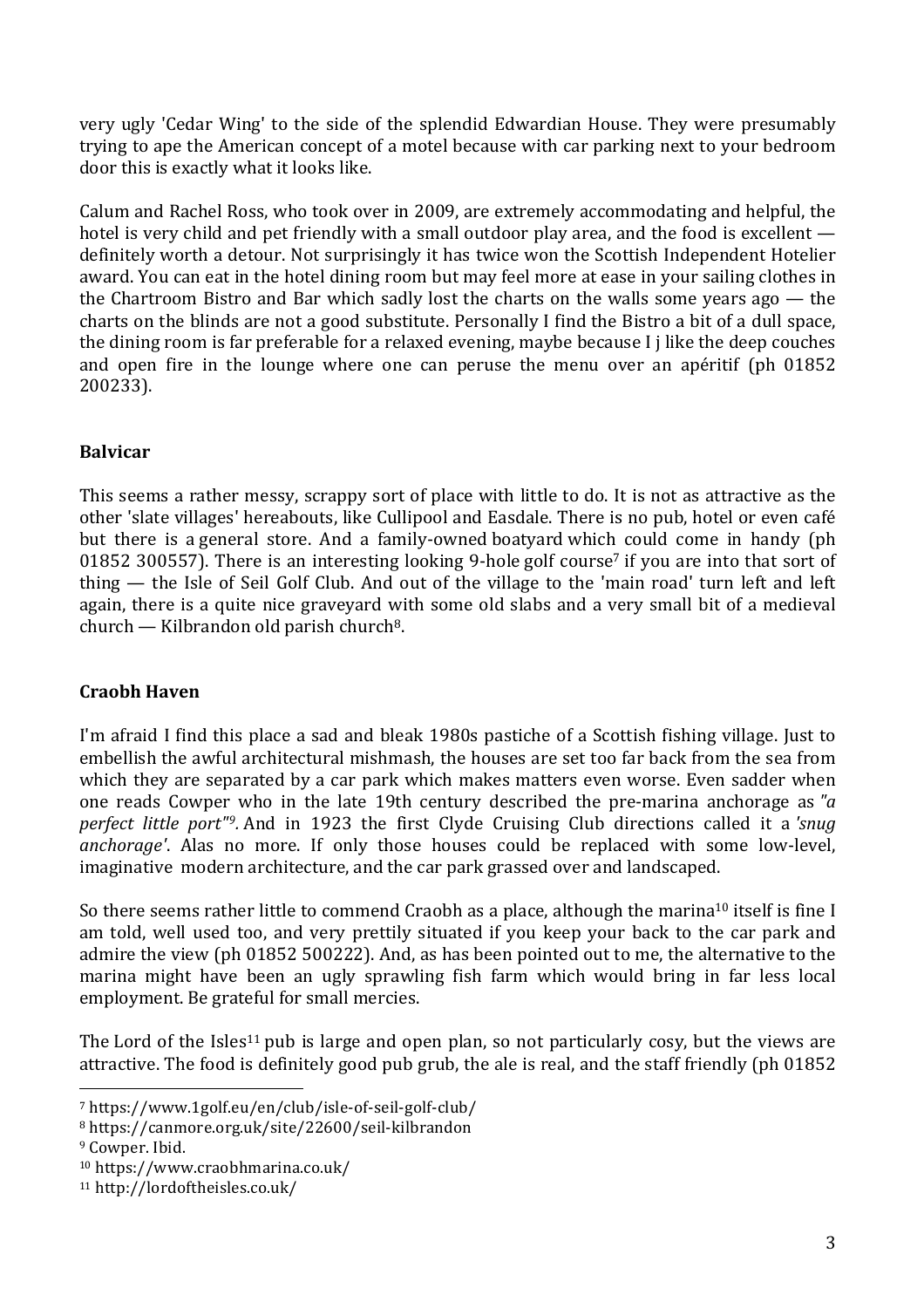very ugly 'Cedar Wing' to the side of the splendid Edwardian House. They were presumably trying to ape the American concept of a motel because with car parking next to your bedroom door this is exactly what it looks like.

Calum and Rachel Ross, who took over in 2009, are extremely accommodating and helpful, the hotel is very child and pet friendly with a small outdoor play area, and the food is excellent definitely worth a detour. Not surprisingly it has twice won the Scottish Independent Hotelier award. You can eat in the hotel dining room but may feel more at ease in your sailing clothes in the Chartroom Bistro and Bar which sadly lost the charts on the walls some years ago — the charts on the blinds are not a good substitute. Personally I find the Bistro a bit of a dull space, the dining room is far preferable for a relaxed evening, maybe because I j like the deep couches and open fire in the lounge where one can peruse the menu over an apéritif (ph 01852 200233).

## **Balvicar**

This seems a rather messy, scrappy sort of place with little to do. It is not as attractive as the other 'slate villages' hereabouts, like Cullipool and Easdale. There is no pub, hotel or even café but there is a general store. And a family-owned boatyard which could come in handy (ph 01852 300557). There is an interesting looking 9-hole golf course<sup>7</sup> if you are into that sort of thing — the Isle of Seil Golf Club. And out of the village to the 'main road' turn left and left again, there is a quite nice graveyard with some old slabs and a very small bit of a medieval  $church - Kilbrandon old parish church<sup>8</sup>.$ 

## **Craobh Haven**

I'm afraid I find this place a sad and bleak 1980s pastiche of a Scottish fishing village. Just to embellish the awful architectural mishmash, the houses are set too far back from the sea from which they are separated by a car park which makes matters even worse. Even sadder when one reads Cowper who in the late 19th century described the pre-marina anchorage as *"a perfect little port"9.* And in 1923 the first Clyde Cruising Club directions called it a *'snug anchorage'*. Alas no more. If only those houses could be replaced with some low-level, imaginative modern architecture, and the car park grassed over and landscaped.

So there seems rather little to commend Craobh as a place, although the marina<sup>10</sup> itself is fine I am told, well used too, and very prettily situated if you keep your back to the car park and admire the view (ph 01852 500222). And, as has been pointed out to me, the alternative to the marina might have been an ugly sprawling fish farm which would bring in far less local employment. Be grateful for small mercies.

The Lord of the Isles<sup>11</sup> pub is large and open plan, so not particularly cosy, but the views are attractive. The food is definitely good pub grub, the ale is real, and the staff friendly (ph 01852

<sup>7</sup> https://www.1golf.eu/en/club/isle-of-seil-golf-club/

<sup>8</sup> https://canmore.org.uk/site/22600/seil-kilbrandon <sup>9</sup> Cowper. Ibid.

<sup>10</sup> https://www.craobhmarina.co.uk/

<sup>11</sup> http://lordoftheisles.co.uk/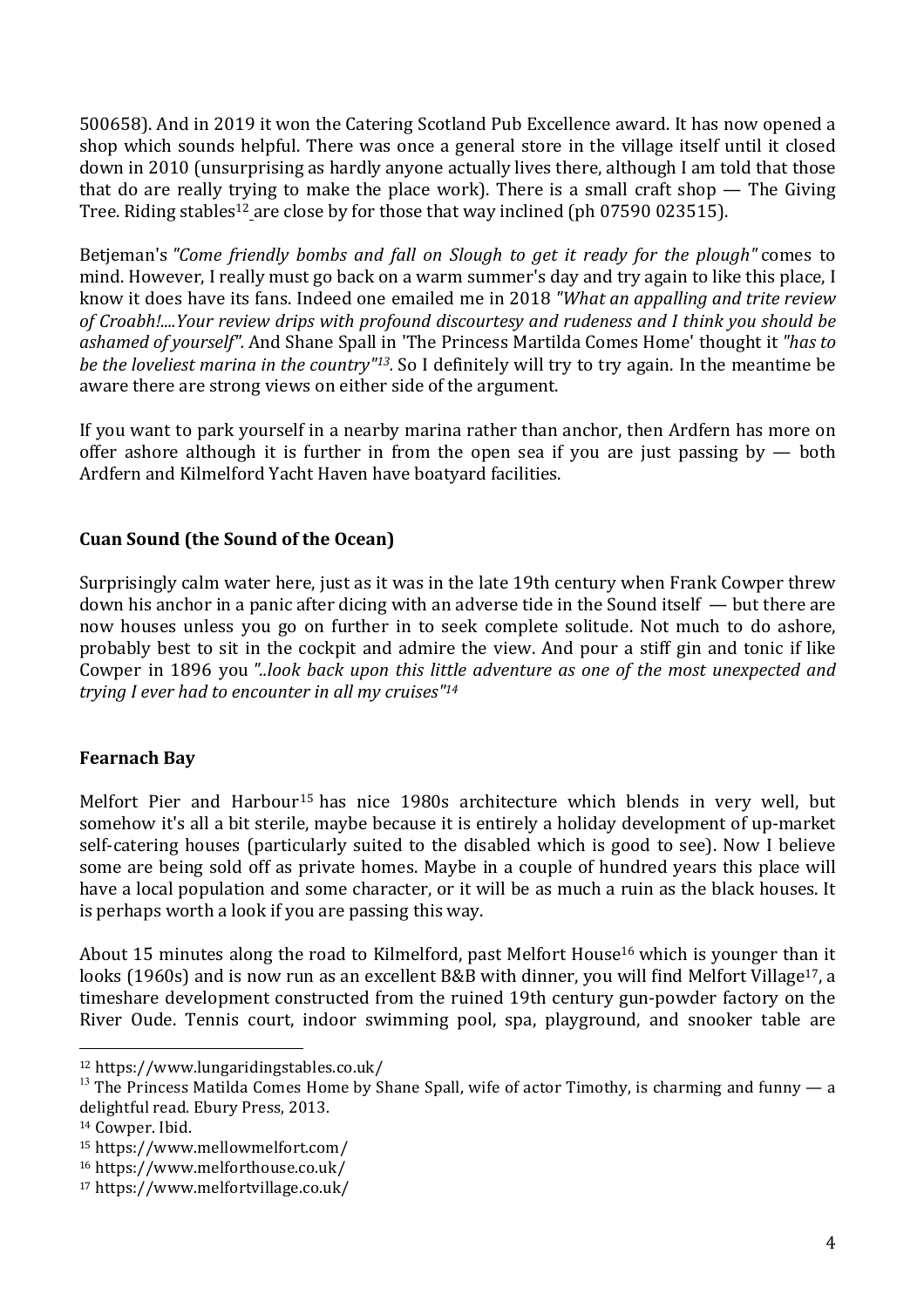500658). And in 2019 it won the Catering Scotland Pub Excellence award. It has now opened a shop which sounds helpful. There was once a general store in the village itself until it closed down in 2010 (unsurprising as hardly anyone actually lives there, although I am told that those that do are really trying to make the place work). There is a small craft shop  $-$  The Giving Tree. Riding stables<sup>12</sup> are close by for those that way inclined (ph 07590 023515).

Betjeman's *"Come friendly bombs and fall on Slough to get it ready for the plough"* comes to mind. However, I really must go back on a warm summer's day and try again to like this place, I know it does have its fans. Indeed one emailed me in 2018 *"What an appalling and trite review of Croabh!....Your review drips with profound discourtesy and rudeness and I think you should be ashamed of yourself".* And Shane Spall in 'The Princess Martilda Comes Home' thought it *"has to be the loveliest marina in the country"13.* So I definitely will try to try again. In the meantime be aware there are strong views on either side of the argument.

If you want to park yourself in a nearby marina rather than anchor, then Ardfern has more on offer ashore although it is further in from the open sea if you are just passing by  $-$  both Ardfern and Kilmelford Yacht Haven have boatyard facilities.

#### **Cuan Sound (the Sound of the Ocean)**

Surprisingly calm water here, just as it was in the late 19th century when Frank Cowper threw down his anchor in a panic after dicing with an adverse tide in the Sound itself — but there are now houses unless you go on further in to seek complete solitude. Not much to do ashore, probably best to sit in the cockpit and admire the view. And pour a stiff gin and tonic if like Cowper in 1896 you *"..look back upon this little adventure as one of the most unexpected and trying I ever had to encounter in all my cruises"14*

#### **Fearnach Bay**

Melfort Pier and Harbour15 has nice 1980s architecture which blends in very well, but somehow it's all a bit sterile, maybe because it is entirely a holiday development of up-market self-catering houses (particularly suited to the disabled which is good to see). Now I believe some are being sold off as private homes. Maybe in a couple of hundred years this place will have a local population and some character, or it will be as much a ruin as the black houses. It is perhaps worth a look if you are passing this way.

About 15 minutes along the road to Kilmelford, past Melfort House<sup>16</sup> which is younger than it looks (1960s) and is now run as an excellent B&B with dinner, you will find Melfort Village<sup>17</sup>, a timeshare development constructed from the ruined 19th century gun-powder factory on the River Oude. Tennis court, indoor swimming pool, spa, playground, and snooker table are

<sup>12</sup> https://www.lungaridingstables.co.uk/

<sup>&</sup>lt;sup>13</sup> The Princess Matilda Comes Home by Shane Spall, wife of actor Timothy, is charming and funny  $-$  a delightful read. Ebury Press, 2013.

<sup>&</sup>lt;sup>14</sup> Cowper. Ibid.

<sup>15</sup> https://www.mellowmelfort.com/

<sup>16</sup> https://www.melforthouse.co.uk/

<sup>17</sup> https://www.melfortvillage.co.uk/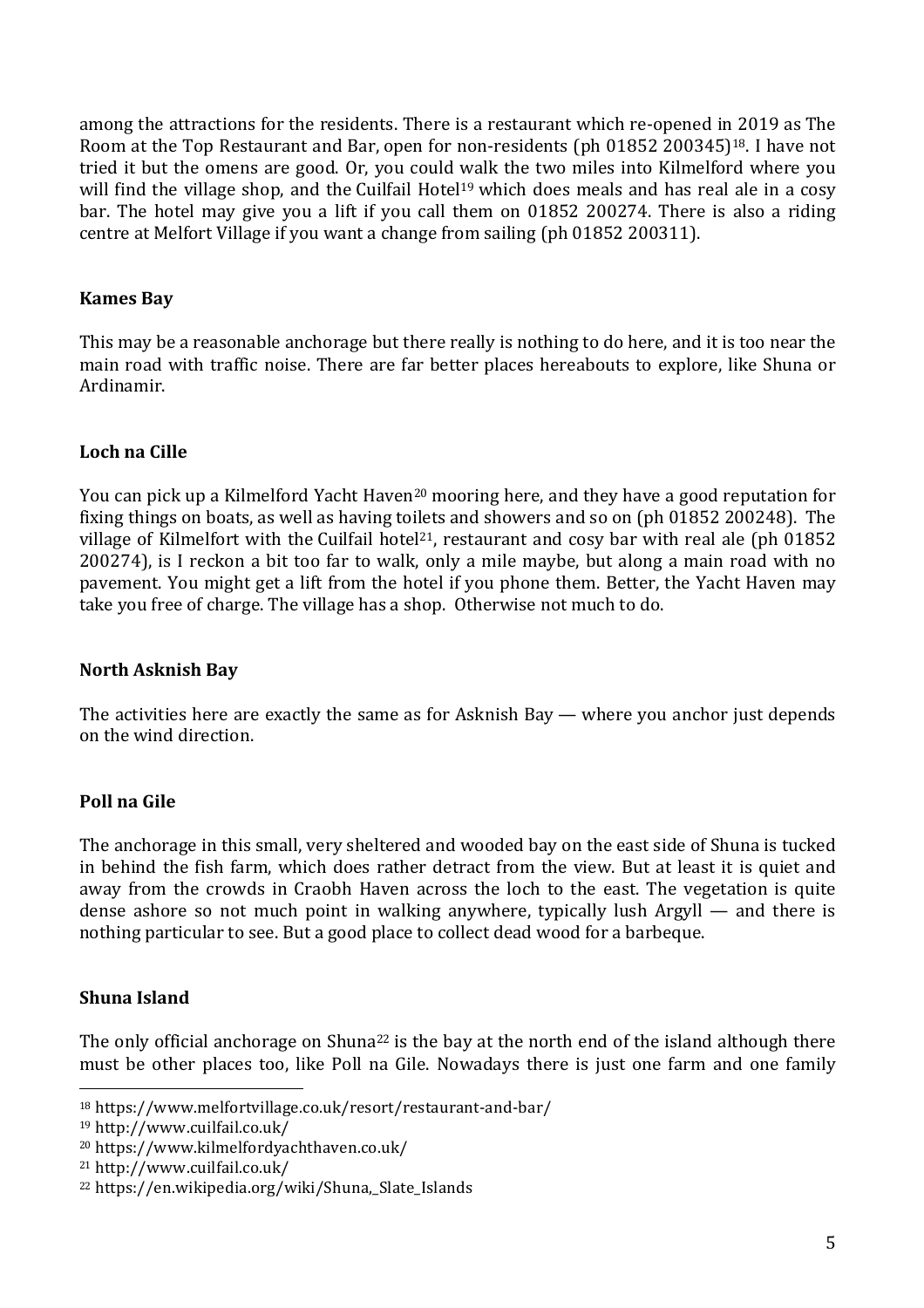among the attractions for the residents. There is a restaurant which re-opened in 2019 as The Room at the Top Restaurant and Bar, open for non-residents (ph 01852 200345)18. I have not tried it but the omens are good. Or, you could walk the two miles into Kilmelford where you will find the village shop, and the Cuilfail Hotel<sup>19</sup> which does meals and has real ale in a cosy bar. The hotel may give you a lift if you call them on 01852 200274. There is also a riding centre at Melfort Village if you want a change from sailing (ph 01852 200311).

#### **Kames Bay**

This may be a reasonable anchorage but there really is nothing to do here, and it is too near the main road with traffic noise. There are far better places hereabouts to explore, like Shuna or Ardinamir.

## **Loch na Cille**

You can pick up a Kilmelford Yacht Haven<sup>20</sup> mooring here, and they have a good reputation for fixing things on boats, as well as having toilets and showers and so on (ph 01852 200248). The village of Kilmelfort with the Cuilfail hotel<sup>21</sup>, restaurant and cosy bar with real ale (ph 01852 200274), is I reckon a bit too far to walk, only a mile maybe, but along a main road with no pavement. You might get a lift from the hotel if you phone them. Better, the Yacht Haven may take you free of charge. The village has a shop. Otherwise not much to do.

## **North Asknish Bay**

The activities here are exactly the same as for Asknish Bay — where you anchor just depends on the wind direction.

## **Poll na Gile**

The anchorage in this small, very sheltered and wooded bay on the east side of Shuna is tucked in behind the fish farm, which does rather detract from the view. But at least it is quiet and away from the crowds in Craobh Haven across the loch to the east. The vegetation is quite dense ashore so not much point in walking anywhere, typically lush Argyll — and there is nothing particular to see. But a good place to collect dead wood for a barbeque.

# **Shuna Island**

The only official anchorage on Shuna<sup>22</sup> is the bay at the north end of the island although there must be other places too, like Poll na Gile. Nowadays there is just one farm and one family

<sup>18</sup> https://www.melfortvillage.co.uk/resort/restaurant-and-bar/

<sup>19</sup> http://www.cuilfail.co.uk/

<sup>20</sup> https://www.kilmelfordyachthaven.co.uk/

<sup>21</sup> http://www.cuilfail.co.uk/

<sup>22</sup> https://en.wikipedia.org/wiki/Shuna,\_Slate\_Islands